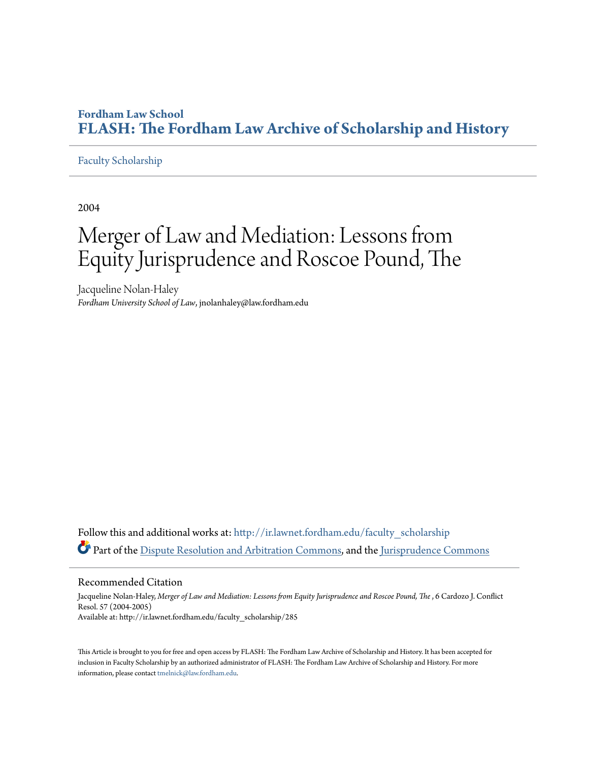# **Fordham Law School [FLASH: The Fordham Law Archive of Scholarship and History](http://ir.lawnet.fordham.edu?utm_source=ir.lawnet.fordham.edu%2Ffaculty_scholarship%2F285&utm_medium=PDF&utm_campaign=PDFCoverPages)**

### [Faculty Scholarship](http://ir.lawnet.fordham.edu/faculty_scholarship?utm_source=ir.lawnet.fordham.edu%2Ffaculty_scholarship%2F285&utm_medium=PDF&utm_campaign=PDFCoverPages)

2004

# Merger of Law and Mediation: Lessons from Equity Jurisprudence and Roscoe Pound, The

Jacqueline Nolan-Haley *Fordham University School of Law*, jnolanhaley@law.fordham.edu

Follow this and additional works at: http://ir.lawnet.fordham.edu/faculty scholarship Part of the [Dispute Resolution and Arbitration Commons](http://network.bepress.com/hgg/discipline/890?utm_source=ir.lawnet.fordham.edu%2Ffaculty_scholarship%2F285&utm_medium=PDF&utm_campaign=PDFCoverPages), and the [Jurisprudence Commons](http://network.bepress.com/hgg/discipline/610?utm_source=ir.lawnet.fordham.edu%2Ffaculty_scholarship%2F285&utm_medium=PDF&utm_campaign=PDFCoverPages)

#### Recommended Citation

Jacqueline Nolan-Haley, Merger of Law and Mediation: Lessons from Equity Jurisprudence and Roscoe Pound, The , 6 Cardozo J. Conflict Resol. 57 (2004-2005) Available at: http://ir.lawnet.fordham.edu/faculty\_scholarship/285

This Article is brought to you for free and open access by FLASH: The Fordham Law Archive of Scholarship and History. It has been accepted for inclusion in Faculty Scholarship by an authorized administrator of FLASH: The Fordham Law Archive of Scholarship and History. For more information, please contact [tmelnick@law.fordham.edu](mailto:tmelnick@law.fordham.edu).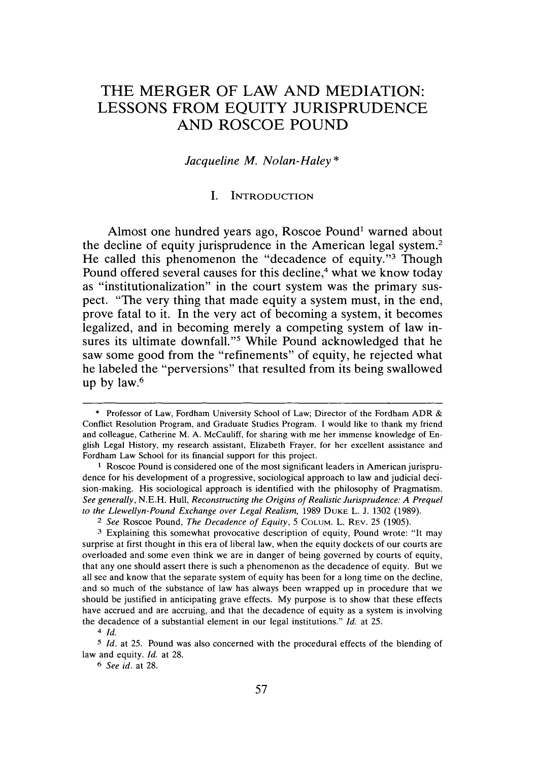# THE MERGER OF LAW **AND MEDIATION: LESSONS** FROM **EQUITY JURISPRUDENCE AND** ROSCOE **POUND**

#### *Jacqueline M. Nolan-Haley \**

#### **I.** INTRODUCTION

Almost one hundred years ago, Roscoe Pound' warned about the decline of equity jurisprudence in the American legal system.2 He called this phenomenon the "decadence of equity."<sup>3</sup> Though Pound offered several causes for this decline,<sup>4</sup> what we know today as "institutionalization" in the court system was the primary suspect. "The very thing that made equity a system must, in the end, prove fatal to it. In the very act of becoming a system, it becomes legalized, and in becoming merely a competing system of law insures its ultimate downfall."<sup>5</sup> While Pound acknowledged that he saw some good from the "refinements" of equity, he rejected what he labeled the "perversions" that resulted from its being swallowed up **by** law.<sup>6</sup>

*6 See id.* at 28.

**<sup>\*</sup>** Professor of Law, Fordham University School of Law; Director of the Fordham ADR & Conflict Resolution Program, and Graduate Studies Program. I would like to thank my friend and colleague, Catherine M. A. McCauliff, for sharing with me her immense knowledge of English Legal History, my research assistant, Elizabeth Frayer, for her excellent assistance and Fordham Law School for its financial support for this project.

**I** Roscoe Pound is considered one of the most significant leaders in American jurisprudence for his development of a progressive, sociological approach to law and judicial decision-making. His sociological approach is identified with the philosophy of Pragmatism. *See generally,* N.E.H. Hull, *Reconstructing the Origins of Realistic Jurisprudence: A Prequel to the Llewellyn-Pound Exchange over Legal Realism,* 1989 **DUKE** L. J. 1302 (1989).

*<sup>2</sup> See* Roscoe Pound, *The Decadence of Equity,* <sup>5</sup>**COLUM.** L. REV. 25 (1905).

**<sup>3</sup>**Explaining this somewhat provocative description of equity, Pound wrote: "It may surprise at first thought in this era of liberal law, when the equity dockets of our courts are overloaded and some even think we are in danger of being governed by courts of equity, that any one should assert there is such a phenomenon as the decadence of equity. But we all see and know that the separate system of equity has been for a long time on the decline, and so much of the substance of law has always been wrapped up in procedure that we should be justified in anticipating grave effects. My purpose is to show that these effects have accrued and are accruing, and that the decadence of equity as a system is involving the decadence of a substantial element in our legal institutions." *Id.* at 25.

<sup>4</sup>*Id.*

*<sup>5</sup>Id.* at 25. Pound was also concerned with the procedural effects of the blending of law and equity. *Id.* at 28.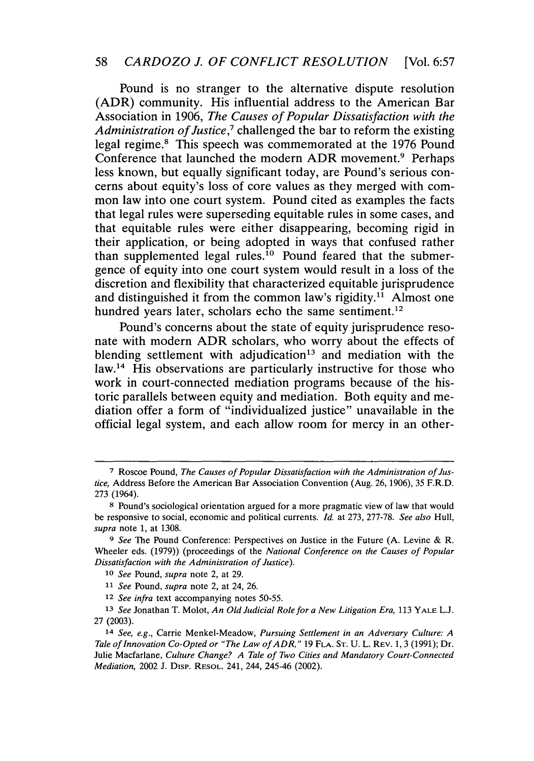Pound is no stranger to the alternative dispute resolution (ADR) community. His influential address to the American Bar Association in 1906, *The Causes of Popular Dissatisfaction with the Administration of Justice,7* challenged the bar to reform the existing legal regime.8 This speech was commemorated at the 1976 Pound Conference that launched the modern ADR movement.<sup>9</sup> Perhaps less known, but equally significant today, are Pound's serious concerns about equity's loss of core values as they merged with common law into one court system. Pound cited as examples the facts that legal rules were superseding equitable rules in some cases, and that equitable rules were either disappearing, becoming rigid in their application, or being adopted in ways that confused rather than supplemented legal rules.<sup>10</sup> Pound feared that the submergence of equity into one court system would result in a loss of the discretion and flexibility that characterized equitable jurisprudence and distinguished it from the common law's rigidity.<sup>11</sup> Almost one hundred years later, scholars echo the same sentiment.<sup>12</sup>

Pound's concerns about the state of equity jurisprudence resonate with modern ADR scholars, who worry about the effects of blending settlement with adjudication<sup>13</sup> and mediation with the law.<sup>14</sup> His observations are particularly instructive for those who work in court-connected mediation programs because of the historic parallels between equity and mediation. Both equity and mediation offer a form of "individualized justice" unavailable in the official legal system, and each allow room for mercy in an other-

**<sup>7</sup>** Roscoe Pound, *The Causes of Popular Dissatisfaction with the Administration of Justice,* Address Before the American Bar Association Convention (Aug. 26, 1906), 35 F.R.D. 273 (1964).

**<sup>8</sup>** Pound's sociological orientation argued for a more pragmatic view of law that would be responsive to social, economic and political currents. *Id.* at 273, 277-78. *See also* Hull, *supra* note 1, at 1308.

*<sup>9</sup> See* The Pound Conference: Perspectives on Justice in the Future (A. Levine & R. Wheeler eds. (1979)) (proceedings of the *National Conference on the Causes of Popular Dissatisfaction with the Administration of Justice).*

*<sup>10</sup> See* Pound, *supra* note 2, at 29.

*<sup>11</sup>See* Pound, *supra* note 2, at 24, 26.

*<sup>12</sup> See infra* text accompanying notes 50-55.

**<sup>13</sup>***See* Jonathan T. Molot, *An Old Judicial Role for a New Litigation Era,* 113 YALE L.J. 27 (2003).

<sup>14</sup> *See, e.g.,* Carrie Menkel-Meadow, *Pursuing Settlement in an Adversary Culture: A Tale of Innovation Co-Opted or "The Law ofADR,"* 19 **FLA. ST.** U. L. REV. 1, 3 (1991); Dr. Julie Macfarlane, *Culture Change? A Tale of Two Cities and Mandatory Court-Connected Mediation,* 2002 J. Disp. RESOL. 241, 244, 245-46 (2002).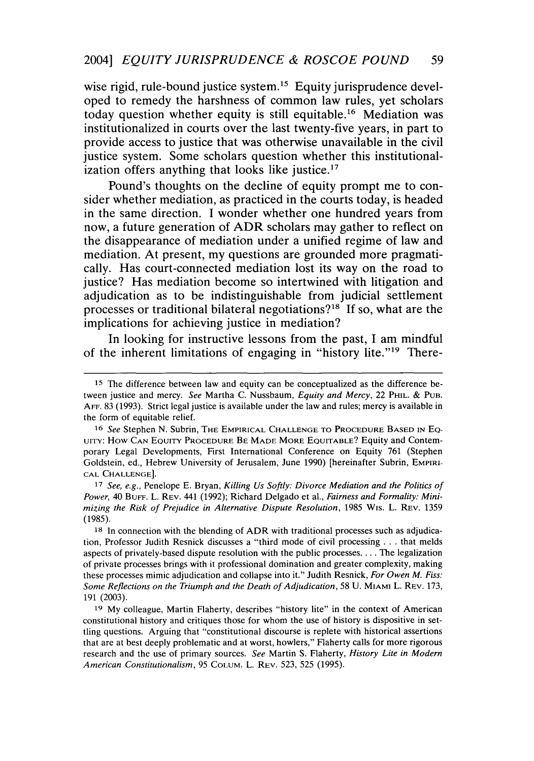wise rigid, rule-bound justice system.<sup>15</sup> Equity jurisprudence developed to remedy the harshness of common law rules, yet scholars today question whether equity is still equitable.<sup>16</sup> Mediation was institutionalized in courts over the last twenty-five years, in part to provide access to justice that was otherwise unavailable in the civil justice system. Some scholars question whether this institutionalization offers anything that looks like justice. $17$ 

Pound's thoughts on the decline of equity prompt me to consider whether mediation, as practiced in the courts today, is headed in the same direction. I wonder whether one hundred years from now, a future generation of ADR scholars may gather to reflect on the disappearance of mediation under a unified regime of law and mediation. At present, my questions are grounded more pragmatically. Has court-connected mediation lost its way on the road to justice? Has mediation become so intertwined with litigation and adjudication as to be indistinguishable from judicial settlement processes or traditional bilateral negotiations?<sup>18</sup> If so, what are the implications for achieving justice in mediation?

In looking for instructive lessons from the past, I am mindful of the inherent limitations of engaging in "history lite."<sup>19</sup> There-

<sup>17</sup>*See, e.g.,* Penelope E. Bryan, *Killing Us Softly: Divorce Mediation and the Politics of Power,* 40 BUFF. L. REV. 441 (1992); Richard Delgado et al., *Fairness and Formality: Minimizing the Risk of Prejudice in Alternative Dispute Resolution,* 1985 Wis. L. REV. 1359 (1985).

<sup>15</sup> The difference between law and equity can be conceptualized as the difference between justice and mercy. *See* Martha C. Nussbaum, *Equity and Mercy,* 22 PHIL. & PUB. AFF. 83 (1993). Strict legal justice is available under the law and rules; mercy is available in the form of equitable relief.

<sup>16</sup> *See* Stephen N. Subrin, THE EMPIRICAL **CHALLENGE** TO PROCEDURE **BASED IN EQ**uiTy: How **CAN** EQUITv PROCEDURE BE **MADE** MORE EQUITABLE? Equity and Contemporary Legal Developments, First International Conference on Equity 761 (Stephen Goldstein, ed., Hebrew University of Jerusalem, June 1990) [hereinafter Subrin, EMPIRI-**CAL CHALLENGE].**

<sup>18</sup> In connection with the blending of ADR with traditional processes such as adjudication, Professor Judith Resnick discusses a "third mode of civil processing **...** that melds aspects of privately-based dispute resolution with the public processes.... The legalization of private processes brings with it professional domination and greater complexity, making these processes mimic adjudication and collapse into it." Judith Resnick, *For Owen M. Fiss: Some Reflections on the Triumph and the Death of Adjudication,* 58 U. MIAMI L. REV. 173, 191 (2003).

**<sup>19</sup>** My colleague, Martin Flaherty, describes "history lite" in the context of American constitutional history and critiques those for whom the use of history is dispositive in settling questions. Arguing that "constitutional discourse is replete with historical assertions that are at best deeply problematic and at worst, howlers," Flaherty calls for more rigorous research and the use of primary sources. *See* Martin S. Flaherty, *History Lite in Modern American Constitutionalism,* 95 COLUM. L. REV. 523, 525 (1995).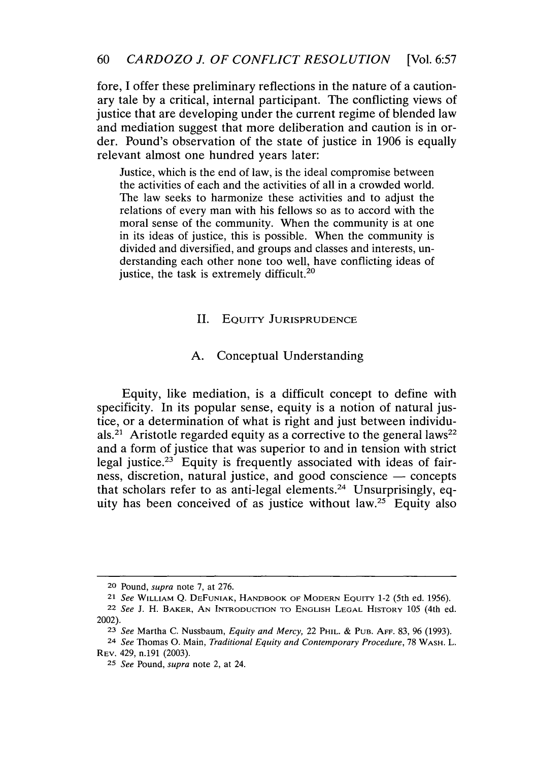### 60 *CARDOZO J. OF CONFLICT RESOLUTION* [Vol. 6:57

fore, I offer these preliminary reflections in the nature of a cautionary tale by a critical, internal participant. The conflicting views of justice that are developing under the current regime of blended law and mediation suggest that more deliberation and caution is in order. Pound's observation of the state of justice in 1906 is equally relevant almost one hundred years later:

Justice, which is the end of law, is the ideal compromise between the activities of each and the activities of all in a crowded world. The law seeks to harmonize these activities and to adjust the relations of every man with his fellows so as to accord with the moral sense of the community. When the community is at one in its ideas of justice, this is possible. When the community is divided and diversified, and groups and classes and interests, understanding each other none too well, have conflicting ideas of justice, the task is extremely difficult.<sup>20</sup>

#### II. **EQUITY JURISPRUDENCE**

#### A. Conceptual Understanding

Equity, like mediation, is a difficult concept to define with specificity. In its popular sense, equity is a notion of natural justice, or a determination of what is right and just between individuals.<sup>21</sup> Aristotle regarded equity as a corrective to the general laws<sup>22</sup> and a form of justice that was superior to and in tension with strict legal justice.<sup>23</sup> Equity is frequently associated with ideas of fairness, discretion, natural justice, and good conscience - concepts that scholars refer to as anti-legal elements. 24 Unsurprisingly, equity has been conceived of as justice without law.<sup>25</sup> Equity also

**<sup>20</sup>** Pound, *supra* note 7, at 276.

**<sup>21</sup>** *See* WILLIAM Q. **DEFUNIAK,** HANDBOOK OF MODERN EQUITY 1-2 (5th ed. 1956).

<sup>22</sup> *See* J. H. BAKER, **AN INTRODUCTION** TO ENGLISH **LEGAL** HISTORY 105 (4th ed. 2002).

**<sup>23</sup>** *See* Martha C. Nussbaum, *Equity and Mercy,* 22 PHIL. **&** PUB. **An'. 83, 96 (1993).**

*<sup>24</sup> See* Thomas **0.** Main, *Traditional Equity and Contemporary Procedure,* 78 WASH. L. REV. 429, n.191 (2003).

**<sup>25</sup>** *See* Pound, *supra* note 2, at 24.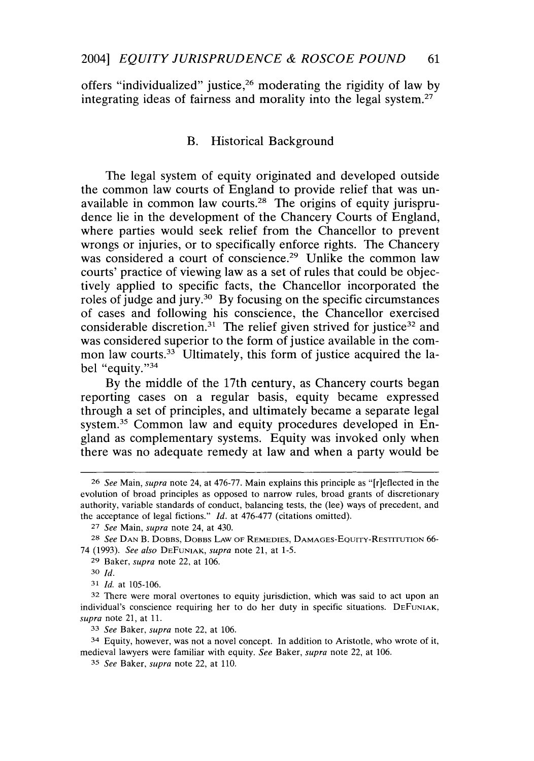offers "individualized" justice,<sup>26</sup> moderating the rigidity of law by integrating ideas of fairness and morality into the legal system.<sup>27</sup>

#### B. Historical Background

The legal system of equity originated and developed outside the common law courts of England to provide relief that was unavailable in common law courts.28 The origins of equity jurisprudence lie in the development of the Chancery Courts of England, where parties would seek relief from the Chancellor to prevent wrongs or injuries, or to specifically enforce rights. The Chancery was considered a court of conscience.<sup>29</sup> Unlike the common law courts' practice of viewing law as a set of rules that could be objectively applied to specific facts, the Chancellor incorporated the roles of judge and jury.30 By focusing on the specific circumstances of cases and following his conscience, the Chancellor exercised considerable discretion.<sup>31</sup> The relief given strived for justice<sup>32</sup> and was considered superior to the form of justice available in the common law courts. $33$  Ultimately, this form of justice acquired the label "equity."34

By the middle of the 17th century, as Chancery courts began reporting cases on a regular basis, equity became expressed through a set of principles, and ultimately became a separate legal system.<sup>35</sup> Common law and equity procedures developed in England as complementary systems. Equity was invoked only when there was no adequate remedy at law and when a party would be

*<sup>26</sup> See* Main, *supra* note 24, at 476-77. Main explains this principle as "[r]eflected in the evolution of broad principles as opposed to narrow rules, broad grants of discretionary authority, variable standards of conduct, balancing tests, the (lee) ways of precedent, and the acceptance of legal fictions." *Id.* at 476-477 (citations omitted).

**<sup>27</sup>** *See* Main, *supra* note 24, at 430.

*<sup>28</sup> See* **DAN** B. DOBBS, DOBBS **LAW** OF REMEDIES, DAMAGES-EQuITY-RESTITUTION 66- 74 (1993). *See also* **DEFUNIAK,** *supra* note 21, at 1-5.

**<sup>29</sup>** Baker, *supra* note 22, at 106.

**<sup>30</sup>** *Id.*

*<sup>31</sup> Id.* at **105-106.**

**<sup>32</sup>** There were moral overtones to equity jurisdiction, which was said to act upon an individual's conscience requiring her to do her duty in specific situations. DEFUNIAK, *supra* note 21, at **11.**

*<sup>33</sup> See* Baker, *supra* note 22, at **106.**

**<sup>34</sup>** Equity, however, was not a novel concept. In addition to Aristotle, who wrote of it, medieval lawyers were familiar with equity. *See* Baker, *supra* note 22, at **106.**

*<sup>35</sup> See* Baker, *supra* note 22, at **110.**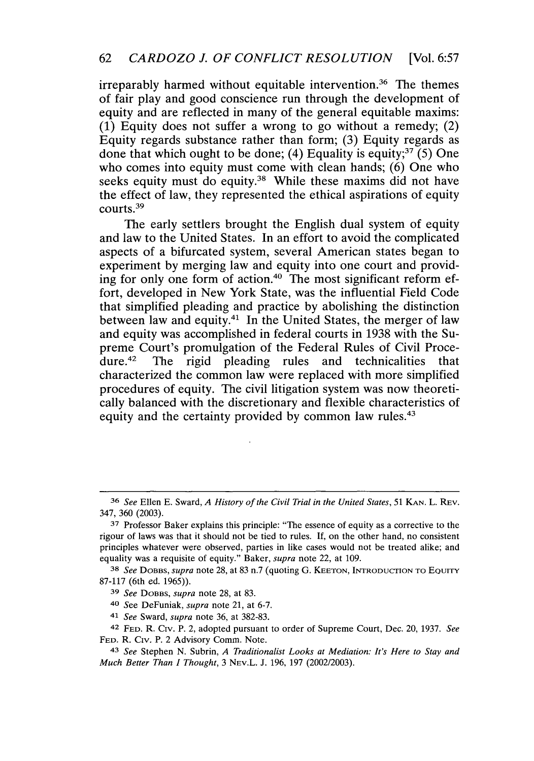irreparably harmed without equitable intervention.<sup>36</sup> The themes of fair play and good conscience run through the development of equity and are reflected in many of the general equitable maxims: (1) Equity does not suffer a wrong to go without a remedy; (2) Equity regards substance rather than form; (3) Equity regards as done that which ought to be done; (4) Equality is equity;<sup>37</sup> (5) One who comes into equity must come with clean hands; (6) One who seeks equity must do equity.<sup>38</sup> While these maxims did not have the effect of law, they represented the ethical aspirations of equity courts.<sup>39</sup>

The early settlers brought the English dual system of equity and law to the United States. In an effort to avoid the complicated aspects of a bifurcated system, several American states began to experiment by merging law and equity into one court and providing for only one form of action.<sup>40</sup> The most significant reform effort, developed in New York State, was the influential Field Code that simplified pleading and practice by abolishing the distinction between law and equity.<sup>41</sup> In the United States, the merger of law and equity was accomplished in federal courts in 1938 with the Supreme Court's promulgation of the Federal Rules of Civil Procedure.42 The rigid pleading rules and technicalities that characterized the common law were replaced with more simplified procedures of equity. The civil litigation system was now theoretically balanced with the discretionary and flexible characteristics of equity and the certainty provided by common law rules.<sup>43</sup>

**<sup>36</sup>** *See* Ellen E. Sward, *A History of the Civil Trial in the United States,* <sup>51</sup>**KAN.** L. REV. 347, 360 (2003).

**<sup>37</sup>** Professor Baker explains this principle: "The essence of equity as a corrective to the rigour of laws was that it should not be tied to rules. If, on the other hand, no consistent principles whatever were observed, parties in like cases would not be treated alike; and equality was a requisite of equity." Baker, *supra* note 22, at 109.

**<sup>38</sup>** *See* DOBBS, *supra* note 28, at 83 n.7 (quoting **G. KEETON,** INTRODUCTION TO EouITY 87-117 (6th ed. 1965)).

**<sup>39</sup>** *See* DOBBS, *supra* note 28, at 83.

<sup>40</sup> See DeFuniak, *supra* note 21, at 6-7.

**<sup>41</sup>** *See* Sward, *supra* note 36, at 382-83.

<sup>42</sup> **FED.** R. Civ. P. 2, adopted pursuant to order of Supreme Court, Dec. 20, 1937. *See* **FED.** R. Civ. P. 2 Advisory Comm. Note.

*<sup>43</sup> See* Stephen N. Subrin, *A Traditionalist Looks at Mediation: It's Here to Stay and Much Better Than I Thought,* 3 NEV.L. J. 196, 197 (2002/2003).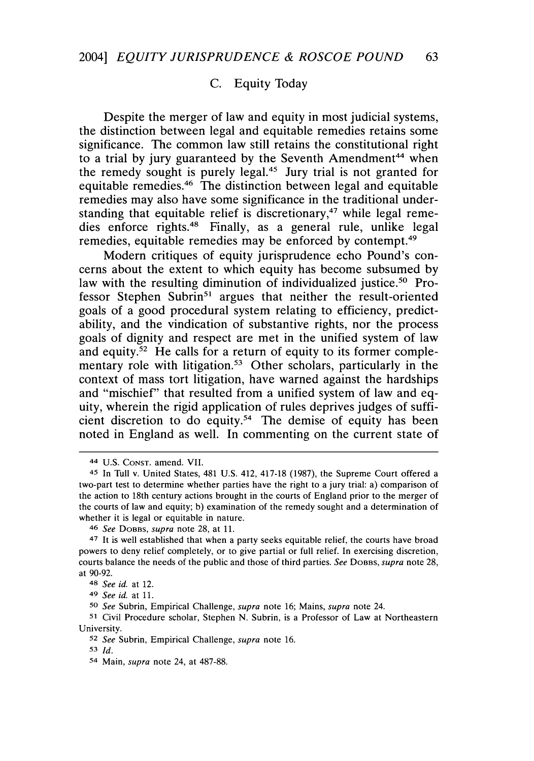## C. Equity Today

Despite the merger of law and equity in most judicial systems, the distinction between legal and equitable remedies retains some significance. The common law still retains the constitutional right to a trial by jury guaranteed by the Seventh Amendment<sup>44</sup> when the remedy sought is purely legal.45 Jury trial is not granted for equitable remedies.46 The distinction between legal and equitable remedies may also have some significance in the traditional understanding that equitable relief is discretionary, $47$  while legal remedies enforce rights.48 Finally, as a general rule, unlike legal remedies, equitable remedies may be enforced by contempt.<sup>49</sup>

Modern critiques of equity jurisprudence echo Pound's concerns about the extent to which equity has become subsumed by law with the resulting diminution of individualized justice.<sup>50</sup> Professor Stephen Subrin<sup>51</sup> argues that neither the result-oriented goals of a good procedural system relating to efficiency, predictability, and the vindication of substantive rights, nor the process goals of dignity and respect are met in the unified system of law and equity.<sup>52</sup> He calls for a return of equity to its former complementary role with litigation.<sup>53</sup> Other scholars, particularly in the context of mass tort litigation, have warned against the hardships and "mischief" that resulted from a unified system of law and equity, wherein the rigid application of rules deprives judges of sufficient discretion to do equity.54 The demise of equity has been noted in England as well. In commenting on the current state of

<sup>44</sup> U.S. CONST. amend. VII.

<sup>45</sup> In Tull v. United States, 481 U.S. 412, 417-18 (1987), the Supreme Court offered a two-part test to determine whether parties have the right to a jury trial: a) comparison of the action to 18th century actions brought in the courts of England prior to the merger of the courts of law and equity; b) examination of the remedy sought and a determination of whether it is legal or equitable in nature.

<sup>46</sup> *See* DOBBS, *supra* note 28, at **11.**

<sup>47</sup> It is well established that when a party seeks equitable relief, the courts have broad powers to deny relief completely, or to give partial or full relief. In exercising discretion, courts balance the needs of the public and those of third parties. *See* DOBBS, *supra* note 28, at 90-92.

*<sup>48</sup> See id.* at 12.

*<sup>49</sup> See id.* at **11.**

*<sup>50</sup> See* Subrin, Empirical Challenge, *supra* note **16;** Mains, *supra* note 24.

**<sup>51</sup>**Civil Procedure scholar, Stephen N. Subrin, is a Professor of Law at Northeastern University.

*<sup>52</sup> See* Subrin, Empirical Challenge, *supra* note **16.**

**<sup>53</sup>** *Id.*

<sup>54</sup> Main, *supra* note 24, at 487-88.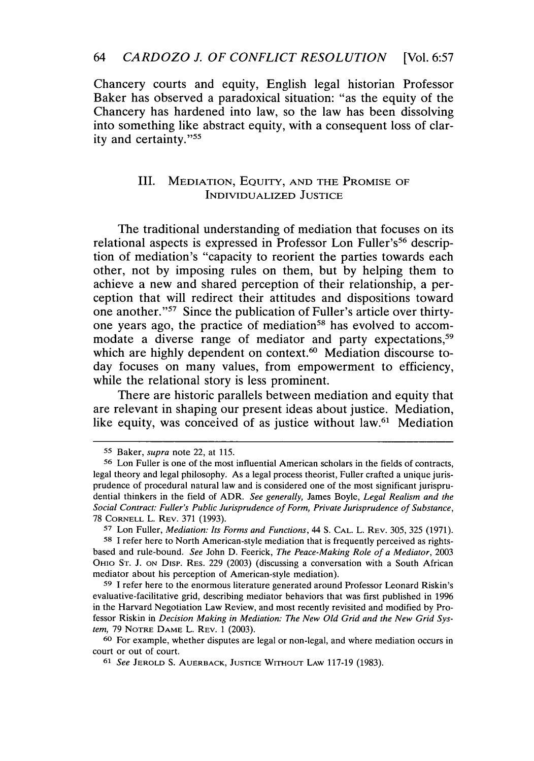### 64 *CARD OZO J. OF CONFLICT RESOLUTION* [Vol. 6:57

Chancery courts and equity, English legal historian Professor Baker has observed a paradoxical situation: "as the equity of the Chancery has hardened into law, so the law has been dissolving into something like abstract equity, with a consequent loss of clarity and certainty."<sup>55</sup>

## III. **MEDIATION, EQUITY, AND** THE **PROMISE OF** INDIVIDUALIZED **JUSTICE**

The traditional understanding of mediation that focuses on its relational aspects is expressed in Professor Lon Fuller's<sup>56</sup> description of mediation's "capacity to reorient the parties towards each other, not by imposing rules on them, but by helping them to achieve a new and shared perception of their relationship, a perception that will redirect their attitudes and dispositions toward one another."<sup>57</sup> Since the publication of Fuller's article over thirtyone years ago, the practice of mediation<sup>58</sup> has evolved to accommodate a diverse range of mediator and party expectations,<sup>59</sup> which are highly dependent on context.<sup>60</sup> Mediation discourse today focuses on many values, from empowerment to efficiency, while the relational story is less prominent.

There are historic parallels between mediation and equity that are relevant in shaping our present ideas about justice. Mediation, like equity, was conceived of as justice without law.<sup>61</sup> Mediation

*<sup>55</sup>* Baker, *supra* note 22, at 115.

**<sup>56</sup>** Lon Fuller is one of the most influential American scholars in the fields of contracts, legal theory and legal philosophy. As a legal process theorist, Fuller crafted a unique jurisprudence of procedural natural law and is considered one of the most significant jurisprudential thinkers in the field of ADR. *See generally,* James Boyle, *Legal Realism and the Social Contract: Fuller's Public Jurisprudence of Form, Private Jurisprudence of Substance,* 78 CORNELL L. REV. 371 (1993).

**<sup>57</sup>**Lon Fuller, *Mediation: Its Forms and Functions,* 44 **S. CAL.** L. REV. 305, 325 (1971). **58** I refer here to North American-style mediation that is frequently perceived as rightsbased and rule-bound. *See* John D. Feerick, *The Peace-Making Role of a Mediator,* 2003 OHIO **ST. J. ON** Disp. RES. 229 (2003) (discussing a conversation with a South African mediator about his perception of American-style mediation).

**<sup>59</sup>** I refer here to the enormous literature generated around Professor Leonard Riskin's evaluative-facilitative grid, describing mediator behaviors that was first published in 1996 in the Harvard Negotiation Law Review, and most recently revisited and modified by Professor Riskin in *Decision Making in Mediation: The New* Old *Grid and the New Grid System,* 79 **NOTRE DAME** L. REV. 1 (2003).

**<sup>60</sup>** For example, whether disputes are legal or non-legal, and where mediation occurs in court or out of court.

**<sup>61</sup>** *See* **JEROLD S.** AUERBACK, **JUSTICE** WITHOUT LAW 117-19 (1983).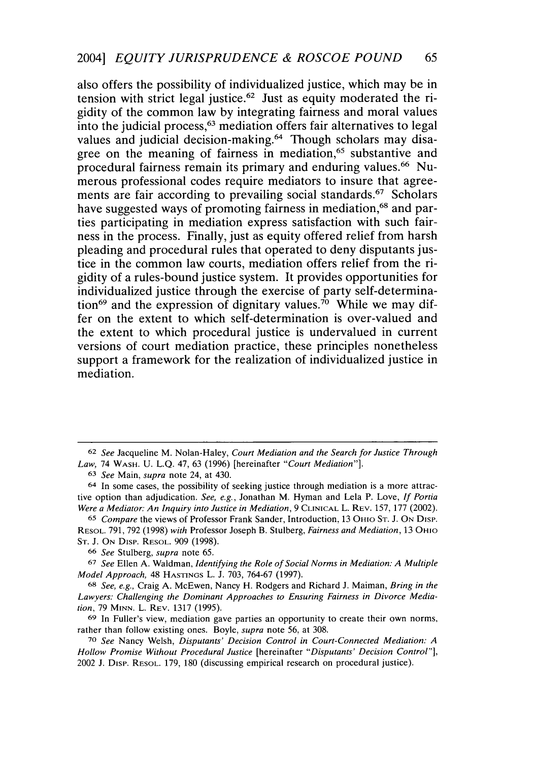also offers the possibility of individualized justice, which may be in tension with strict legal justice.<sup> $62$ </sup> Just as equity moderated the rigidity of the common law **by** integrating fairness and moral values into the judicial process,<sup>63</sup> mediation offers fair alternatives to legal values and judicial decision-making.<sup>64</sup> Though scholars may disagree on the meaning of fairness in mediation,<sup>65</sup> substantive and procedural fairness remain its primary and enduring values. 66 Numerous professional codes require mediators to insure that agreements are fair according to prevailing social standards.<sup>67</sup> Scholars have suggested ways of promoting fairness in mediation,<sup>68</sup> and parties participating in mediation express satisfaction with such fairness in the process. Finally, just as equity offered relief from harsh pleading and procedural rules that operated to deny disputants **jus**tice in the common law courts, mediation offers relief from the rigidity of a rules-bound justice system. It provides opportunities for individualized justice through the exercise of party self-determination<sup>69</sup> and the expression of dignitary values.<sup>70</sup> While we may differ on the extent to which self-determination is over-valued and the extent to which procedural justice is undervalued in current versions of court mediation practice, these principles nonetheless support a framework for the realization of individualized justice in mediation.

**<sup>62</sup>** *See* Jacqueline M. Nolan-Haley, *Court Mediation and the Search for Justice Through Law,* 74 **WASH. U. L.Q.** 47, **63 (1996)** [hereinafter *"Court Mediation"].*

**<sup>63</sup>** *See* Main, *supra* note 24, at 430.

**<sup>64</sup>** In some cases, the possibility of seeking justice through mediation is a more attractive option than adjudication. *See, e.g.,* Jonathan M. Hyman and Lela P. Love, *If Portia Were a Mediator: An Inquiry into Justice in Mediation,* **9 CLINICAL** L. **REV. 157, 177** (2002).

**<sup>65</sup>***Compare* the views of Professor Frank Sander, Introduction, **13** OHIO **ST. J. ON** DisP. **RESOL. 791, 792 (1998)** *with* Professor Joseph B. Stulberg, *Fairness and Mediation,* **13** OHIO **ST. J. ON** DisP. **RESOL. 909 (1998).**

**<sup>66</sup>** *See* Stulberg, *supra* note **65.**

**<sup>67</sup>***See* Ellen **A.** Waldman, *Identifying the Role of Social Norms in Mediation: A Multiple Model Approach,* 48 **HASTINGS** L. **J. 703, 764-67 (1997).**

**<sup>68</sup>** *See, e.g.,* Craig **A.** McEwen, Nancy H. Rodgers and Richard **J.** Maiman, *Bring in the Lawyers: Challenging the Dominant Approaches to Ensuring Fairness in Divorce Mediation,* **79 MINN.** L. **REV. 1317 (1995).**

**<sup>69</sup>** In Fuller's view, mediation gave parties an opportunity to create their own norms, rather than follow existing ones. Boyle, *supra* note **56,** at **308.**

*<sup>70</sup> See* Nancy Welsh, *Disputants' Decision Control in Court-Connected Mediation: A Hollow Promise Without Procedural Justice* [hereinafter *"Disputants' Decision Control"],* 2002 **J.** Disp. **RESOL. 179, 180** (discussing empirical research on procedural justice).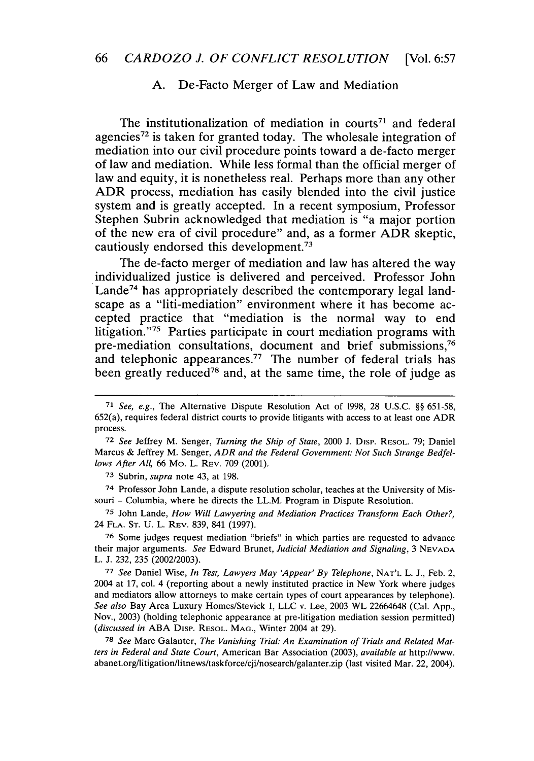#### **A.** De-Facto Merger of Law and Mediation

The institutionalization of mediation in courts<sup> $71$ </sup> and federal agencies <sup>72</sup>**is** taken for granted today. **The** wholesale integration of mediation into our civil procedure points toward a de-facto merger of law and mediation. While less formal than the official merger of law and equity, it is nonetheless real. Perhaps more than any other ADR process, mediation has easily blended into the civil justice system and is greatly accepted. In a recent symposium, Professor Stephen Subrin acknowledged that mediation is "a major portion of the new era of civil procedure" and, as a former ADR skeptic, cautiously endorsed this development. $73$ 

The de-facto merger of mediation and law has altered the way individualized justice is delivered and perceived. Professor John Lande<sup>74</sup> has appropriately described the contemporary legal landscape as a "liti-mediation" environment where it has become accepted practice that "mediation is the normal way to end litigation."<sup>75</sup> Parties participate in court mediation programs with pre-mediation consultations, document and brief submissions,<sup>76</sup> and telephonic appearances.<sup>77</sup> The number of federal trials has been greatly reduced<sup>78</sup> and, at the same time, the role of judge as

**<sup>73</sup>**Subrin, *supra* note 43, at 198.

74 Professor John Lande, a dispute resolution scholar, teaches at the University of Missouri - Columbia, where he directs the LL.M. Program in Dispute Resolution.

**<sup>75</sup>**John Lande, *How Will Lawyering and Mediation Practices Transform Each Other?,* 24 FLA. **ST.** U. L. REV. 839, 841 (1997).

**76** Some judges request mediation "briefs" in which parties are requested to advance their major arguments. *See* Edward Brunet, *Judicial Mediation and Signaling,* 3 **NEVADA** L. J. 232, 235 (2002/2003).

**<sup>77</sup>***See* Daniel Wise, *In Test, Lawyers May 'Appear' By Telephone,* **NAT'L** L. **J.,** Feb. 2, 2004 at 17, col. 4 (reporting about a newly instituted practice in New York where judges and mediators allow attorneys to make certain types of court appearances by telephone). *See also* Bay Area Luxury Homes/Stevick I, LLC v. Lee, 2003 WL 22664648 (Cal. App., Nov., 2003) (holding telephonic appearance at pre-litigation mediation session permitted) *(discussed in* ABA Disp. RESOL. MAG., Winter 2004 at 29).

**78** *See* Marc Galanter, *The Vanishing Trial: An Examination of Trials and Related Matters in Federal and State Court,* American Bar Association (2003), *available at* http://www. abanet.org/litigation/litnews/taskforce/cji/nosearch/galanter.zip (last visited Mar. 22, 2004).

**<sup>71</sup>** *See, e.g.,* The Alternative Dispute Resolution Act of 1998, 28 U.S.C. §§ 651-58, 652(a), requires federal district courts to provide litigants with access to at least one ADR process.

**<sup>72</sup>** *See* Jeffrey M. Senger, *Turning the Ship of State,* 2000 J. Disv. RESOL. 79; Daniel Marcus & Jeffrey M. Senger, *ADR and the Federal Government. Not Such Strange Bedfellows After All,* 66 Mo. L. REV. 709 (2001).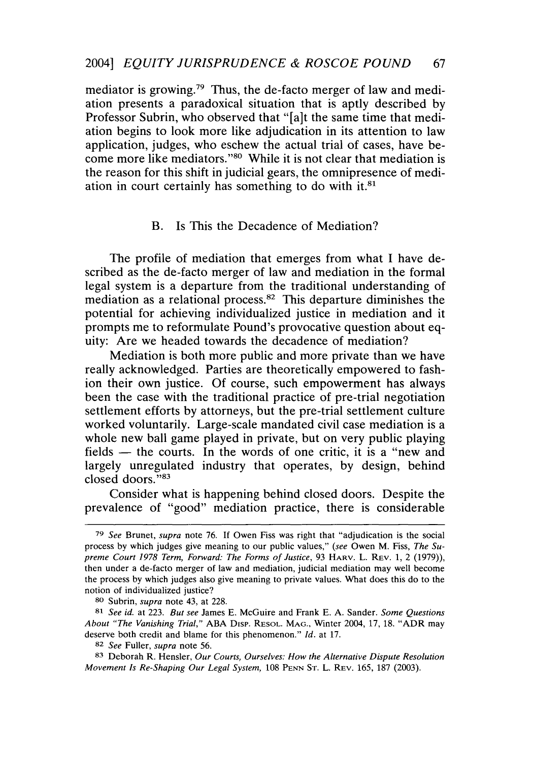mediator is growing.79 Thus, the de-facto merger of law and mediation presents a paradoxical situation that is aptly described by Professor Subrin, who observed that "[a]t the same time that mediation begins to look more like adjudication in its attention to law application, judges, who eschew the actual trial of cases, have become more like mediators."<sup>80</sup> While it is not clear that mediation is the reason for this shift in judicial gears, the omnipresence of mediation in court certainly has something to do with it.<sup>81</sup>

#### B. Is This the Decadence of Mediation?

The profile of mediation that emerges from what I have described as the de-facto merger of law and mediation in the formal legal system is a departure from the traditional understanding of mediation as a relational process.<sup>82</sup> This departure diminishes the potential for achieving individualized justice in mediation and it prompts me to reformulate Pound's provocative question about equity: Are we headed towards the decadence of mediation?

Mediation is both more public and more private than we have really acknowledged. Parties are theoretically empowered to fashion their own justice. Of course, such empowerment has always been the case with the traditional practice of pre-trial negotiation settlement efforts by attorneys, but the pre-trial settlement culture worked voluntarily. Large-scale mandated civil case mediation is a whole new ball game played in private, but on very public playing fields - the courts. In the words of one critic, it is a "new and largely unregulated industry that operates, by design, behind closed doors."83

Consider what is happening behind closed doors. Despite the prevalence of "good" mediation practice, there is considerable

**<sup>79</sup>***See* Brunet, *supra* note 76. If Owen Fiss was right that "adjudication is the social process by which judges give meaning to our public values," *(see* Owen M. Fiss, *The Supreme Court 1978 Term, Forward: The Forms of Justice,* 93 HARV. L. REV. 1, 2 (1979)), then under a de-facto merger of law and mediation, judicial mediation may well become the process by which judges also give meaning to private values. What does this do to the notion of individualized justice?

**<sup>80</sup>** Subrin, *supra* note 43, at 228.

*<sup>81</sup> See id.* at 223. *But see* James E. McGuire and Frank E. A. Sander. *Some Questions About "The Vanishing Trial,"* ABA Disp. RESOL. MAG., Winter 2004, 17, 18. "ADR may deserve both credit and blame for this phenomenon." *Id.* at 17.

<sup>82</sup> *See* Fuller, *supra* note *56.*

<sup>83</sup> Deborah R. Hensler, *Our Courts, Ourselves: How the Alternative Dispute Resolution Movement Is Re-Shaping Our Legal System,* 108 PENN ST. L. REV. 165, 187 (2003).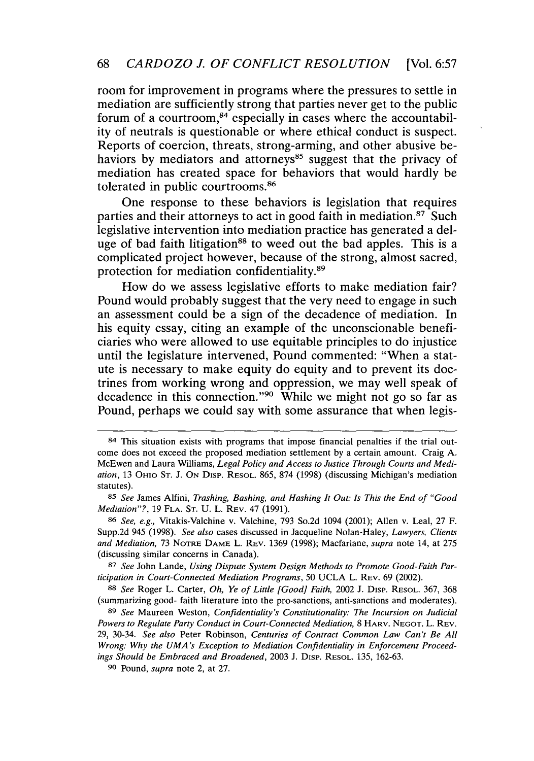room for improvement in programs where the pressures to settle in mediation are sufficiently strong that parties never get to the public forum of a courtroom, $84$  especially in cases where the accountability of neutrals is questionable or where ethical conduct is suspect. Reports of coercion, threats, strong-arming, and other abusive behaviors by mediators and attorneys<sup>85</sup> suggest that the privacy of mediation has created space for behaviors that would hardly be tolerated in public courtrooms.86

One response to these behaviors is legislation that requires parties and their attorneys to act in good faith in mediation. $87$  Such legislative intervention into mediation practice has generated a deluge of bad faith litigation<sup>88</sup> to weed out the bad apples. This is a complicated project however, because of the strong, almost sacred, protection for mediation confidentiality.<sup>89</sup>

How do we assess legislative efforts to make mediation fair? Pound would probably suggest that the very need to engage in such an assessment could be a sign of the decadence of mediation. In his equity essay, citing an example of the unconscionable beneficiaries who were allowed to use equitable principles to do injustice until the legislature intervened, Pound commented: "When a statute is necessary to make equity do equity and to prevent its doctrines from working wrong and oppression, we may well speak of decadence in this connection."<sup>90</sup> While we might not go so far as Pound, perhaps we could say with some assurance that when legis-

<sup>84</sup> This situation exists with programs that impose financial penalties if the trial outcome does not exceed the proposed mediation settlement by a certain amount. Craig A. McEwen and Laura Williams, *Legal Policy and Access to Justice Through Courts and Mediation,* 13 OHIO **ST.** J. **ON** Disp. RESOL. 865, 874 (1998) (discussing Michigan's mediation statutes).

**<sup>85</sup>***See* James Alfini, *Trashing, Bashing, and Hashing It Out: Is This the End of "Good Mediation"?,* 19 **FLA. ST.** U. L. REV. 47 (1991).

**<sup>86</sup>** *See, e.g.,* Vitakis-Valchine v. Valchine, 793 So.2d 1094 (2001); Allen v. Leal, 27 F. Supp.2d 945 (1998). *See also* cases discussed in Jacqueline Nolan-Haley, *Lawyers, Clients* and Mediation, 73 NOTRE DAME L. REV. 1369 (1998); Macfarlane, *supra* note 14, at 275 (discussing similar concerns in Canada).

**<sup>87</sup>** *See* John Lande, *Using Dispute System Design Methods to Promote Good-Faith Participation in Court-Connected Mediation Programs, 50 UCLA L. REV. 69 (2002).* 

**<sup>88</sup>***See* Roger L. Carter, *Oh, Ye of Little [Good] Faith,* 2002 J. Disp. RESOL. 367, 368 (summarizing good- faith literature into the pro-sanctions, anti-sanctions and moderates).

**<sup>89</sup>** *See* Maureen Weston, *Confidentiality's Constitutionality: The Incursion on Judicial Powers to Regulate Party Conduct in Court-Connected Mediation,* 8 HARV. **NEGOT.** L. REV. 29, 30-34. *See also* Peter Robinson, *Centuries of Contract Common Law Can't Be All Wrong: Why the UMA's Exception to Mediation Confidentiality in Enforcement Proceedings Should be Embraced and Broadened,* 2003 J. Disp. RESOL. 135, 162-63.

**<sup>90</sup>** Pound, *supra* note 2, at 27.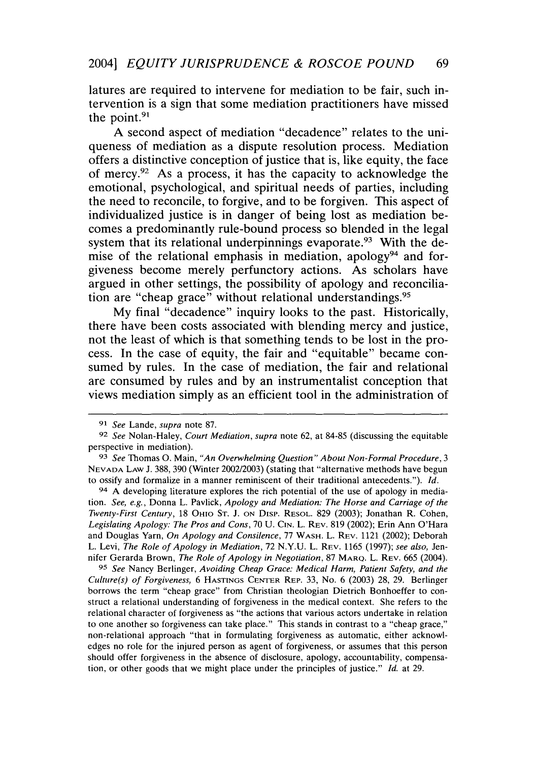latures are required to intervene for mediation to be fair, such intervention is a sign that some mediation practitioners have missed the point.<sup>91</sup>

**A** second aspect of mediation "decadence" relates to the uniqueness of mediation as a dispute resolution process. Mediation offers a distinctive conception of justice that is, like equity, the face of mercy.92 As a process, it has the capacity to acknowledge the emotional, psychological, and spiritual needs of parties, including the need to reconcile, to forgive, and to be forgiven. This aspect of individualized justice is in danger of being lost as mediation becomes a predominantly rule-bound process so blended in the legal system that its relational underpinnings evaporate.<sup>93</sup> With the demise of the relational emphasis in mediation, apology<sup>94</sup> and forgiveness become merely perfunctory actions. As scholars have argued in other settings, the possibility of apology and reconciliation are "cheap grace" without relational understandings.<sup>95</sup>

**My** final "decadence" inquiry looks to the past. Historically, there have been costs associated with blending mercy and justice, not the least of which is that something tends to be lost in the process. In the case of equity, the fair and "equitable" became consumed **by** rules. In the case of mediation, the fair and relational are consumed **by** rules and **by** an instrumentalist conception that views mediation simply as an efficient tool in the administration of

94 A developing literature explores the rich potential of the use of apology in mediation. *See, e.g.,* Donna L. Pavlick, *Apology and Mediation: The Horse and Carriage of the Twenty-First Century,* 18 OHIO **ST. J. ON** Disp. RESOL. 829 (2003); Jonathan R. Cohen, *Legislating Apology: The Pros and Cons,* 70 U. **CIN.** L. REV. 819 (2002); Erin Ann O'Hara and Douglas Yarn, *On Apology and Consilence,* 77 WASH. L. REV. 1121 (2002); Deborah L. Levi, *The Role of Apology in Mediation,* 72 N.Y.U. L. REV. 1165 (1997); *see also,* Jennifer Gerarda Brown, *The Role of Apology in Negotiation,* 87 MARO. L. REV. 665 (2004).

*95 See* Nancy Berlinger, *Avoiding Cheap Grace: Medical Harm, Patient Safety, and the Culture(s) of Forgiveness,* 6 **HASTINGS CENTER** REP. 33, No. 6 (2003) 28, 29. Berlinger borrows the term "cheap grace" from Christian theologian Dietrich Bonhoeffer to construct a relational understanding of forgiveness in the medical context. She refers to the relational character of forgiveness as "the actions that various actors undertake in relation to one another so forgiveness can take place." This stands in contrast to a "cheap grace," non-relational approach "that in formulating forgiveness as automatic, either acknowledges no role for the injured person as agent of forgiveness, or assumes that this person should offer forgiveness in the absence of disclosure, apology, accountability, compensation, or other goods that we might place under the principles of justice." *Id.* at 29.

**<sup>91</sup>** *See* Lande, *supra* note 87.

**<sup>92</sup>** *See* Nolan-Haley, *Court Mediation, supra* note 62, at 84-85 (discussing the equitable perspective in mediation).

**<sup>93</sup>** *See* Thomas **0.** Main, *"An Overwhelming Question" About Non-Formal Procedure, 3* **NEVADA** LAW J. 388, 390 (Winter 2002/2003) (stating that "alternative methods have begun to ossify and formalize in a manner reminiscent of their traditional antecedents."). *Id.*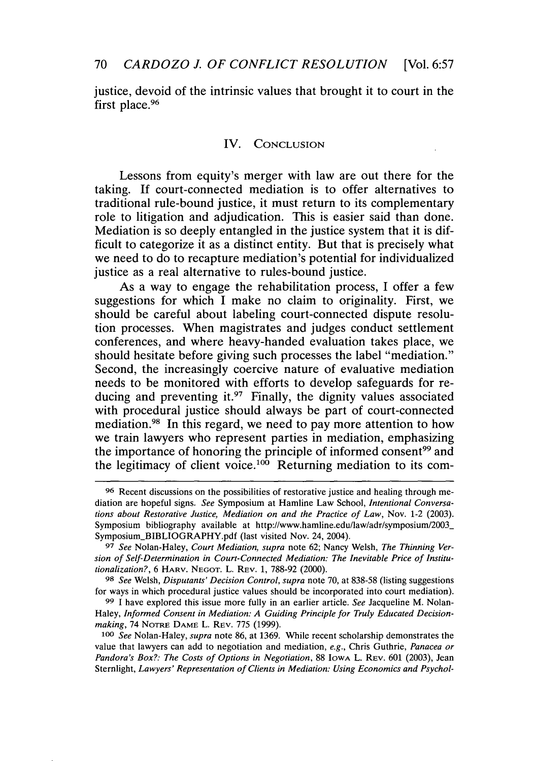justice, devoid of the intrinsic values that brought it to court in the first place.<sup>96</sup>

### IV. **CONCLUSION**

Lessons from equity's merger with law are out there for the taking. If court-connected mediation is to offer alternatives to traditional rule-bound justice, it must return to its complementary role to litigation and adjudication. This is easier said than done. Mediation is so deeply entangled in the justice system that it is difficult to categorize it as a distinct entity. But that is precisely what we need to do to recapture mediation's potential for individualized justice as a real alternative to rules-bound justice.

As a way to engage the rehabilitation process, I offer a few suggestions for which I make no claim to originality. First, we should be careful about labeling court-connected dispute resolution processes. When magistrates and judges conduct settlement conferences, and where heavy-handed evaluation takes place, we should hesitate before giving such processes the label "mediation." Second, the increasingly coercive nature of evaluative mediation needs to be monitored with efforts to develop safeguards for reducing and preventing it. $97$  Finally, the dignity values associated with procedural justice should always be part of court-connected mediation. 98 In this regard, we need to pay more attention to how we train lawyers who represent parties in mediation, emphasizing the importance of honoring the principle of informed consent<sup>99</sup> and the legitimacy of client voice.<sup>100</sup> Returning mediation to its com-

**98** *See* Welsh, *Disputants' Decision Control, supra* note 70, at 838-58 (listing suggestions for ways in which procedural justice values should be incorporated into court mediation).

**<sup>96</sup>** Recent discussions on the possibilities of restorative justice and healing through mediation are hopeful signs. *See* Symposium at Hamline Law School, *Intentional Conversations about Restorative Justice, Mediation on and the Practice of Law, Nov. 1-2 (2003).* Symposium bibliography available at http://www.hamline.edu/law/adr/symposium/2003- Symposium\_BIBLIOGRAPHY.pdf (last visited Nov. 24, 2004).

**<sup>97</sup>** *See* Nolan-Haley, *Court Mediation, supra* note 62; Nancy Welsh, *The Thinning Version of Self-Determination in Court-Connected Mediation: The Inevitable Price of Institutionalization?,* 6 HARV. NEGOT. L. REV. 1, 788-92 (2000).

**<sup>99</sup>** I have explored this issue more fully in an earlier article. *See* Jacqueline M. Nolan-Haley, *Informed Consent in Mediation: A Guiding Principle for Truly Educated Decisionmaking,* 74 NOTRE **DAME** L. REV. 775 (1999).

*<sup>100</sup> See* Nolan-Haley, *supra* note 86, at 1369. While recent scholarship demonstrates the value that lawyers can add to negotiation and mediation, *e.g.,* Chris Guthrie, *Panacea or Pandora's Box?: The Costs of Options in Negotiation, 88 Iowa L. Rev. 601 (2003), Jean* Sternlight, *Lawyers' Representation of Clients in Mediation: Using Economics and Psychol-*